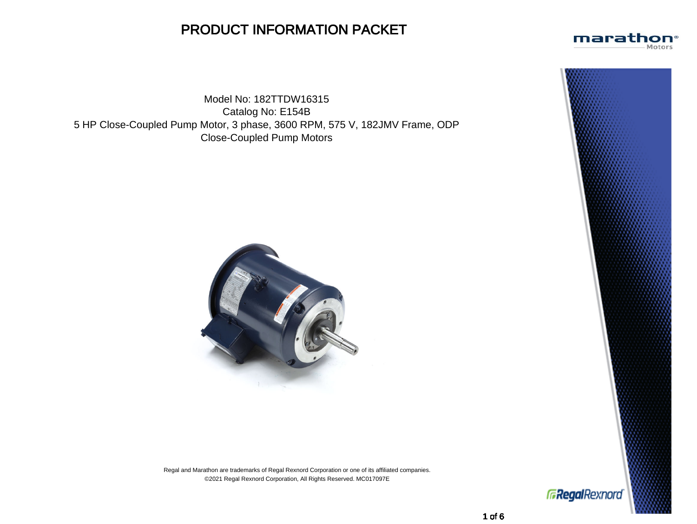## PRODUCT INFORMATION PACKET

Model No: 182TTDW16315 Catalog No: E154B 5 HP Close-Coupled Pump Motor, 3 phase, 3600 RPM, 575 V, 182JMV Frame, ODP Close-Coupled Pump Motors



Regal and Marathon are trademarks of Regal Rexnord Corporation or one of its affiliated companies. ©2021 Regal Rexnord Corporation, All Rights Reserved. MC017097E





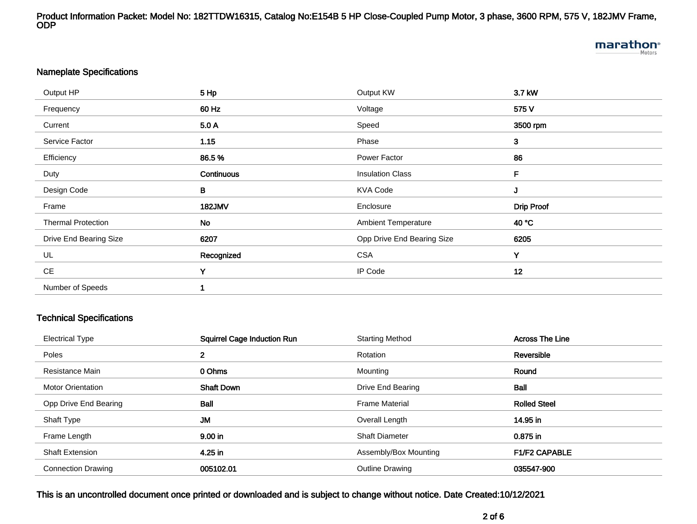Product Information Packet: Model No: 182TTDW16315, Catalog No:E154B 5 HP Close-Coupled Pump Motor, 3 phase, 3600 RPM, 575 V, 182JMV Frame, ODP

# marathon<sup>®</sup>

### Nameplate Specifications

| Output HP                 | 5 Hp          | Output KW                  | 3.7 kW            |
|---------------------------|---------------|----------------------------|-------------------|
| Frequency                 | 60 Hz         | Voltage                    | 575 V             |
| Current                   | 5.0 A         | Speed                      | 3500 rpm          |
| Service Factor            | 1.15          | Phase                      | $\mathbf{3}$      |
| Efficiency                | 86.5%         | Power Factor               | 86                |
| Duty                      | Continuous    | <b>Insulation Class</b>    | F                 |
| Design Code               | B             | <b>KVA Code</b>            | J                 |
| Frame                     | <b>182JMV</b> | Enclosure                  | <b>Drip Proof</b> |
| <b>Thermal Protection</b> | No            | <b>Ambient Temperature</b> | 40 °C             |
| Drive End Bearing Size    | 6207          | Opp Drive End Bearing Size | 6205              |
| UL                        | Recognized    | <b>CSA</b>                 | Y                 |
| <b>CE</b>                 | Y             | IP Code                    | 12                |
| Number of Speeds          |               |                            |                   |
|                           |               |                            |                   |

## Technical Specifications

| <b>Electrical Type</b>    | <b>Squirrel Cage Induction Run</b> | <b>Starting Method</b> | <b>Across The Line</b> |
|---------------------------|------------------------------------|------------------------|------------------------|
| Poles                     | $\mathbf{2}$                       | Rotation               | Reversible             |
| Resistance Main           | 0 Ohms                             | Mounting               | Round                  |
| <b>Motor Orientation</b>  | <b>Shaft Down</b>                  | Drive End Bearing      | <b>Ball</b>            |
| Opp Drive End Bearing     | Ball                               | <b>Frame Material</b>  | <b>Rolled Steel</b>    |
| Shaft Type                | <b>JM</b>                          | Overall Length         | 14.95 in               |
| Frame Length              | 9.00 in                            | <b>Shaft Diameter</b>  | 0.875 in               |
| <b>Shaft Extension</b>    | 4.25 in                            | Assembly/Box Mounting  | <b>F1/F2 CAPABLE</b>   |
| <b>Connection Drawing</b> | 005102.01                          | <b>Outline Drawing</b> | 035547-900             |

This is an uncontrolled document once printed or downloaded and is subject to change without notice. Date Created:10/12/2021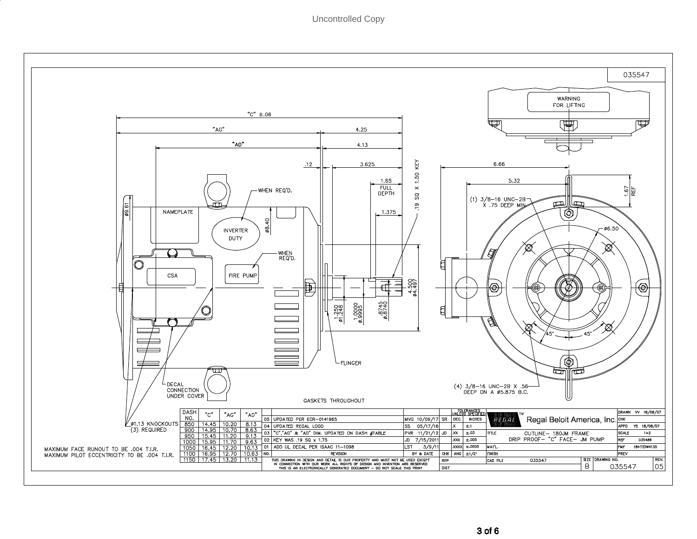Uncontrolled Copy

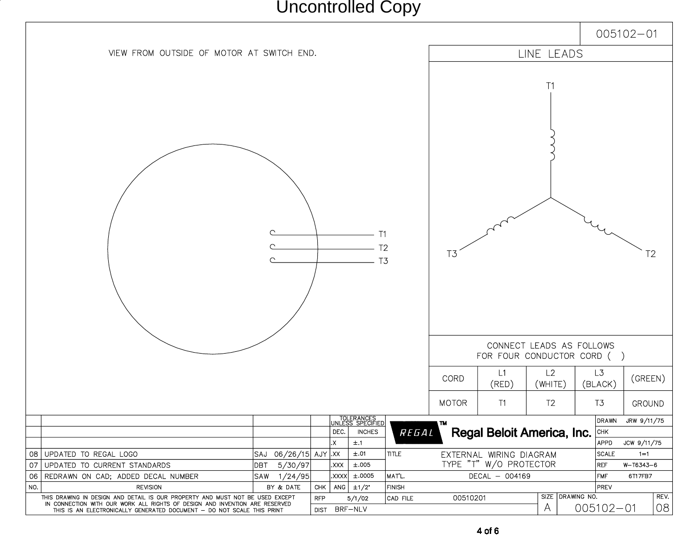Uncontrolled Copy

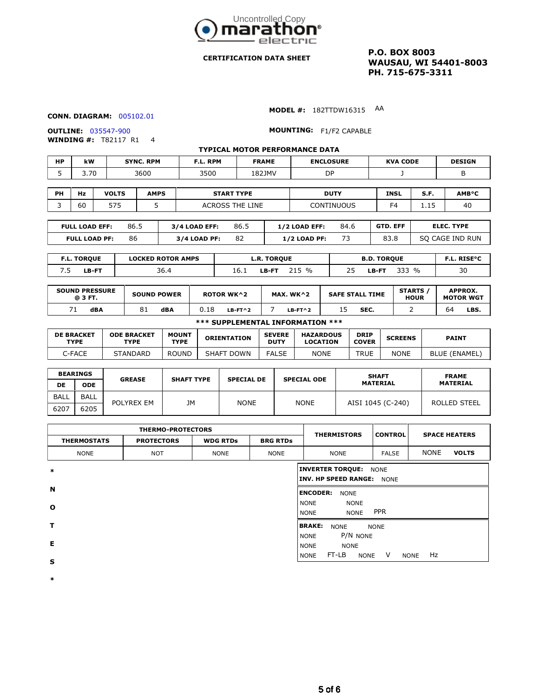

#### **CERTIFICATION DATA SHEET**

**P.O. BOX 8003 WAUSAU, WI 54401-8003 PH. 715-675-3311**

#### **CONN. DIAGRAM:** 005102.01

**MODEL #:** 182TTDW16315 AA

**WINDING #:** T82117 R1 4

**OUTLINE:** 035547-900 **MOUNTING:** F1/F2 CAPABLE

|           | <b>TYPICAL MOTOR PERFORMANCE DATA</b> |                  |          |              |                  |                 |               |  |  |  |  |
|-----------|---------------------------------------|------------------|----------|--------------|------------------|-----------------|---------------|--|--|--|--|
| <b>HP</b> | kW                                    | <b>SYNC. RPM</b> | F.L. RPM | <b>FRAME</b> | <b>ENCLOSURE</b> | <b>KVA CODE</b> | <b>DESIGN</b> |  |  |  |  |
| ۔         | 3.70                                  | 3600             | 3500     | 182JMV       | DP               |                 |               |  |  |  |  |

| PH | Hz                    | <b>VOLTS</b> | <b>AMPS</b> | <b>START TYPE</b>                    |      |                      | <b>DUTY</b>    | <b>INSL</b>     | S.F. | <b>AMB°C</b> |
|----|-----------------------|--------------|-------------|--------------------------------------|------|----------------------|----------------|-----------------|------|--------------|
|    | 60                    | 575          |             | <b>CONTINUOUS</b><br>ACROSS THE LINE |      |                      | F <sub>4</sub> | - 15<br>ᆠᆞᆠ     | 40   |              |
|    |                       |              |             |                                      |      |                      |                |                 |      |              |
|    | <b>FULL LOAD FFF:</b> |              | 86 5        | $3/4$ I OAD FFF.                     | 86 5 | <b>1/2 LOAD FFF.</b> | 84 K           | <b>GTD. FFF</b> |      | FLEC. TYPE   |

| FULL LUAD EFF:       | ಂ.ಎ | 374 LUAD EFF: | oo.J | <i>LIZ</i> LUAD EFF: | <b>04.0</b> | GID. EFF | ELEL. ITPE      |
|----------------------|-----|---------------|------|----------------------|-------------|----------|-----------------|
| <b>FULL LOAD PF:</b> | 86  | 3/4 LOAD PF:  | 82   | <b>1/2 LOAD PF:</b>  |             | 83.8     | SO CAGE IND RUN |
|                      |     |               |      |                      |             |          |                 |

| <b>LOCKED ROTOR AMPS</b><br><b>F.L. TORQUE</b> |                       | <b>L.R. TOROUE</b>    | <b>B.D. TORQUE</b>     | -- RISE°C           |
|------------------------------------------------|-----------------------|-----------------------|------------------------|---------------------|
| <b>LB-FT</b>                                   | $\sim$ $\sim$<br>36.4 | $\%$<br>LB-FT<br>16.1 | $\frac{0}{0}$<br>LB-FT | $\mathcal{D}$<br>υc |

| <b>SOUND PRESSURE</b><br>@ 3 FT. | <b>SOUND POWER</b> | <b>ROTOR WK^2</b> | MAX. WK $\wedge$ 2 | <b>SAFE STALL TIME</b> | <b>STARTS</b><br><b>HOUR</b> | <b>APPROX.</b><br><b>MOTOR WGT</b> |
|----------------------------------|--------------------|-------------------|--------------------|------------------------|------------------------------|------------------------------------|
| dBA                              | 81<br>dBA          | ).18<br>$LB-FT^2$ | LB-FT^2            | SEC.                   |                              | 64<br>LBS.                         |

#### **\*\*\* SUPPLEMENTAL INFORMATION \*\*\***

| <b>DE BRACKET</b><br>TYPE | <b>ODE BRACKET</b><br>TYPE | <b>MOUNT</b><br><b>TYPE</b> | <b>ORIENTATION</b>   | <b>SEVERE</b><br><b>DUTY</b> | <b>HAZARDOUS</b><br>LOCATION | <b>DRIP</b><br><b>COVER</b> | <b>SCREENS</b> | <b>PAINT</b>  |
|---------------------------|----------------------------|-----------------------------|----------------------|------------------------------|------------------------------|-----------------------------|----------------|---------------|
| C-FACE                    | <b>STANDARD</b>            | ROUND                       | <b>DOWN</b><br>SHAFT | <b>FALSE</b>                 | <b>NONE</b>                  | TRUE                        | <b>NONE</b>    | BLUE (ENAMEL) |

| <b>BEARINGS</b> |                    | <b>GREASE</b> | <b>SHAFT TYPE</b> |                                         |             | <b>SHAFT</b>      | <b>FRAME</b>    |  |
|-----------------|--------------------|---------------|-------------------|-----------------------------------------|-------------|-------------------|-----------------|--|
| DE              | <b>ODE</b>         |               |                   | <b>SPECIAL DE</b><br><b>SPECIAL ODE</b> |             | <b>MATERIAL</b>   | <b>MATERIAL</b> |  |
| BALL            | BALL               |               | JМ                | <b>NONE</b>                             | <b>NONE</b> | AISI 1045 (C-240) | ROLLED STEEL    |  |
| 6207            | POLYREX EM<br>6205 |               |                   |                                         |             |                   |                 |  |

| <b>THERMO-PROTECTORS</b> |                   |                 |                 | <b>THERMISTORS</b>                                          | <b>CONTROL</b> | <b>SPACE HEATERS</b>        |  |
|--------------------------|-------------------|-----------------|-----------------|-------------------------------------------------------------|----------------|-----------------------------|--|
| <b>THERMOSTATS</b>       | <b>PROTECTORS</b> | <b>WDG RTDs</b> | <b>BRG RTDs</b> |                                                             |                |                             |  |
| <b>NONE</b>              | <b>NOT</b>        | <b>NONE</b>     | <b>NONE</b>     | <b>NONE</b>                                                 | <b>FALSE</b>   | <b>NONE</b><br><b>VOLTS</b> |  |
| $\ast$                   |                   |                 |                 | <b>INVERTER TORQUE:</b><br><b>INV. HP SPEED RANGE: NONE</b> | <b>NONE</b>    |                             |  |
| N                        |                   |                 |                 | <b>ENCODER:</b><br><b>NONE</b>                              |                |                             |  |
| $\mathbf{o}$             |                   |                 |                 | <b>NONE</b><br><b>NONE</b><br><b>NONE</b><br><b>NONE</b>    | <b>PPR</b>     |                             |  |
| т                        |                   |                 |                 | <b>BRAKE:</b><br><b>NONE</b>                                | <b>NONE</b>    |                             |  |
| Е                        |                   |                 |                 | P/N NONE<br><b>NONE</b><br><b>NONE</b><br><b>NONE</b>       |                |                             |  |
| S                        |                   |                 |                 | FT-LB<br><b>NONE</b><br><b>NONE</b>                         | V              | Hz<br><b>NONE</b>           |  |

**\***